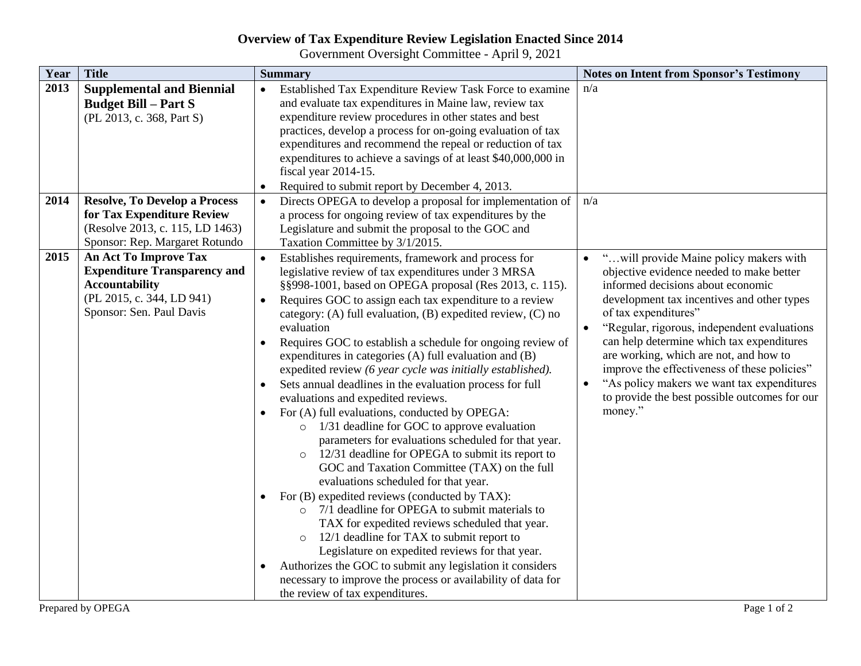## **Overview of Tax Expenditure Review Legislation Enacted Since 2014**

Government Oversight Committee - April 9, 2021

| Year | <b>Title</b>                                                                                                                                   | <b>Summary</b>                                                                                                                                                                                                                                                                                                                                                                                                                                                                                                                                                                                                                                                                                                                                                                                                                                                                                                                                                                                                                                                                                                                                                                                                                                                                                                                                                               | <b>Notes on Intent from Sponsor's Testimony</b>                                                                                                                                                                                                                                                                                                                                                                                                                                                                          |
|------|------------------------------------------------------------------------------------------------------------------------------------------------|------------------------------------------------------------------------------------------------------------------------------------------------------------------------------------------------------------------------------------------------------------------------------------------------------------------------------------------------------------------------------------------------------------------------------------------------------------------------------------------------------------------------------------------------------------------------------------------------------------------------------------------------------------------------------------------------------------------------------------------------------------------------------------------------------------------------------------------------------------------------------------------------------------------------------------------------------------------------------------------------------------------------------------------------------------------------------------------------------------------------------------------------------------------------------------------------------------------------------------------------------------------------------------------------------------------------------------------------------------------------------|--------------------------------------------------------------------------------------------------------------------------------------------------------------------------------------------------------------------------------------------------------------------------------------------------------------------------------------------------------------------------------------------------------------------------------------------------------------------------------------------------------------------------|
| 2013 | <b>Supplemental and Biennial</b><br><b>Budget Bill – Part S</b><br>(PL 2013, c. 368, Part S)                                                   | Established Tax Expenditure Review Task Force to examine<br>$\bullet$<br>and evaluate tax expenditures in Maine law, review tax<br>expenditure review procedures in other states and best<br>practices, develop a process for on-going evaluation of tax<br>expenditures and recommend the repeal or reduction of tax<br>expenditures to achieve a savings of at least \$40,000,000 in<br>fiscal year 2014-15.<br>Required to submit report by December 4, 2013.                                                                                                                                                                                                                                                                                                                                                                                                                                                                                                                                                                                                                                                                                                                                                                                                                                                                                                             | n/a                                                                                                                                                                                                                                                                                                                                                                                                                                                                                                                      |
| 2014 | <b>Resolve, To Develop a Process</b><br>for Tax Expenditure Review<br>(Resolve 2013, c. 115, LD 1463)<br>Sponsor: Rep. Margaret Rotundo        | Directs OPEGA to develop a proposal for implementation of<br>a process for ongoing review of tax expenditures by the<br>Legislature and submit the proposal to the GOC and<br>Taxation Committee by 3/1/2015.                                                                                                                                                                                                                                                                                                                                                                                                                                                                                                                                                                                                                                                                                                                                                                                                                                                                                                                                                                                                                                                                                                                                                                | n/a                                                                                                                                                                                                                                                                                                                                                                                                                                                                                                                      |
| 2015 | An Act To Improve Tax<br><b>Expenditure Transparency and</b><br><b>Accountability</b><br>(PL 2015, c. 344, LD 941)<br>Sponsor: Sen. Paul Davis | Establishes requirements, framework and process for<br>legislative review of tax expenditures under 3 MRSA<br>§§998-1001, based on OPEGA proposal (Res 2013, c. 115).<br>Requires GOC to assign each tax expenditure to a review<br>category: (A) full evaluation, (B) expedited review, (C) no<br>evaluation<br>Requires GOC to establish a schedule for ongoing review of<br>expenditures in categories (A) full evaluation and (B)<br>expedited review (6 year cycle was initially established).<br>Sets annual deadlines in the evaluation process for full<br>evaluations and expedited reviews.<br>For (A) full evaluations, conducted by OPEGA:<br>1/31 deadline for GOC to approve evaluation<br>$\circ$<br>parameters for evaluations scheduled for that year.<br>12/31 deadline for OPEGA to submit its report to<br>GOC and Taxation Committee (TAX) on the full<br>evaluations scheduled for that year.<br>For (B) expedited reviews (conducted by TAX):<br>$\bullet$<br>7/1 deadline for OPEGA to submit materials to<br>TAX for expedited reviews scheduled that year.<br>12/1 deadline for TAX to submit report to<br>$\circ$<br>Legislature on expedited reviews for that year.<br>Authorizes the GOC to submit any legislation it considers<br>$\bullet$<br>necessary to improve the process or availability of data for<br>the review of tax expenditures. | " will provide Maine policy makers with<br>objective evidence needed to make better<br>informed decisions about economic<br>development tax incentives and other types<br>of tax expenditures"<br>"Regular, rigorous, independent evaluations<br>$\bullet$<br>can help determine which tax expenditures<br>are working, which are not, and how to<br>improve the effectiveness of these policies"<br>"As policy makers we want tax expenditures<br>$\bullet$<br>to provide the best possible outcomes for our<br>money." |